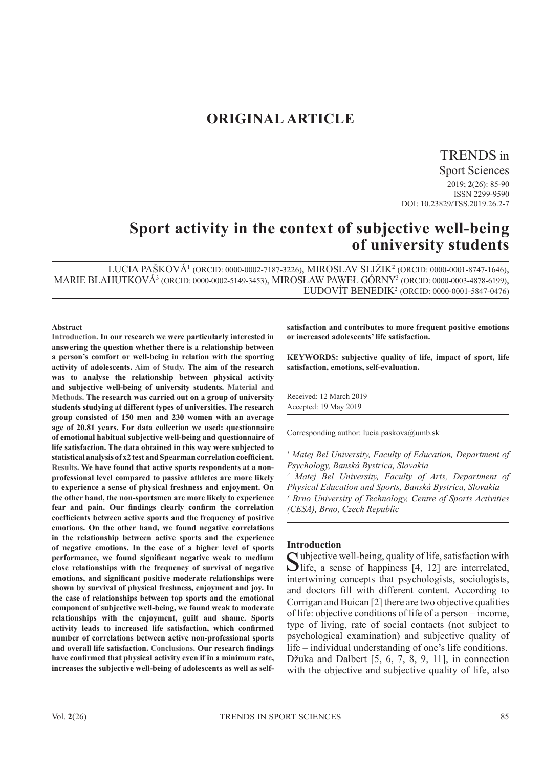## **ORIGINAL ARTICLE**

### TRENDS in

Sport Sciences 2019; **2**(26): 85-90 ISSN 2299-9590 DOI: 10.23829/TSS.2019.26.2-7

# **Sport activity in the context of subjective well-being of university students**

LUCIA PAŠKOVÁ1 (ORCID: 0000-0002-7187-3226), MIROSLAV SLIŽIK<sup>2</sup> (ORCID: 0000-0001-8747-1646), MARIE BLAHUTKOVÁ3 (ORCID: 0000-0002-5149-3453), MIROSŁAW PAWEŁ GÓRNY<sup>3</sup> (ORCID: 0000-0003-4878-6199), ĽUDOVÍT BENEDIK<sup>2</sup> (ORCID: 0000-0001-5847-0476)

#### **Abstract**

**Introduction. In our research we were particularly interested in answering the question whether there is a relationship between a person's comfort or well-being in relation with the sporting activity of adolescents. Aim of Study. The aim of the research was to analyse the relationship between physical activity and subjective well-being of university students. Material and Methods. The research was carried out on a group of university students studying at different types of universities. The research group consisted of 150 men and 230 women with an average age of 20.81 years. For data collection we used: questionnaire of emotional habitual subjective well-being and questionnaire of life satisfaction. The data obtained in this way were subjected to statistical analysis of x2 test and Spearman correlation coefficient. Results. We have found that active sports respondents at a nonprofessional level compared to passive athletes are more likely to experience a sense of physical freshness and enjoyment. On the other hand, the non-sportsmen are more likely to experience fear and pain. Our findings clearly confirm the correlation coefficients between active sports and the frequency of positive emotions. On the other hand, we found negative correlations in the relationship between active sports and the experience of negative emotions. In the case of a higher level of sports performance, we found significant negative weak to medium close relationships with the frequency of survival of negative emotions, and significant positive moderate relationships were shown by survival of physical freshness, enjoyment and joy. In the case of relationships between top sports and the emotional component of subjective well-being, we found weak to moderate relationships with the enjoyment, guilt and shame. Sports activity leads to increased life satisfaction, which confirmed number of correlations between active non-professional sports and overall life satisfaction. Conclusions. Our research findings have confirmed that physical activity even if in a minimum rate, increases the subjective well-being of adolescents as well as self-**

**satisfaction and contributes to more frequent positive emotions or increased adolescents' life satisfaction.**

**KEYWORDS: subjective quality of life, impact of sport, life satisfaction, emotions, self-evaluation.**

Received: 12 March 2019 Accepted: 19 May 2019

Corresponding author: lucia.paskova@umb.sk

<sup>1</sup> Matej Bel University, Faculty of Education, Department of *Psychology, Banská Bystrica, Slovakia* 

*2 Matej Bel University, Faculty of Arts, Department of Physical Education and Sports, Banská Bystrica, Slovakia 3 Brno University of Technology, Centre of Sports Activities (CESA), Brno, Czech Republic*

#### **Introduction**

Subjective well-being, quality of life, satisfaction with Slife, a sense of happiness [4, 12] are interrelated, intertwining concepts that psychologists, sociologists, and doctors fill with different content. According to Corrigan and Buican [2] there are two objective qualities of life: objective conditions of life of a person – income, type of living, rate of social contacts (not subject to psychological examination) and subjective quality of life – individual understanding of one's life conditions. Džuka and Dalbert [5, 6, 7, 8, 9, 11], in connection with the objective and subjective quality of life, also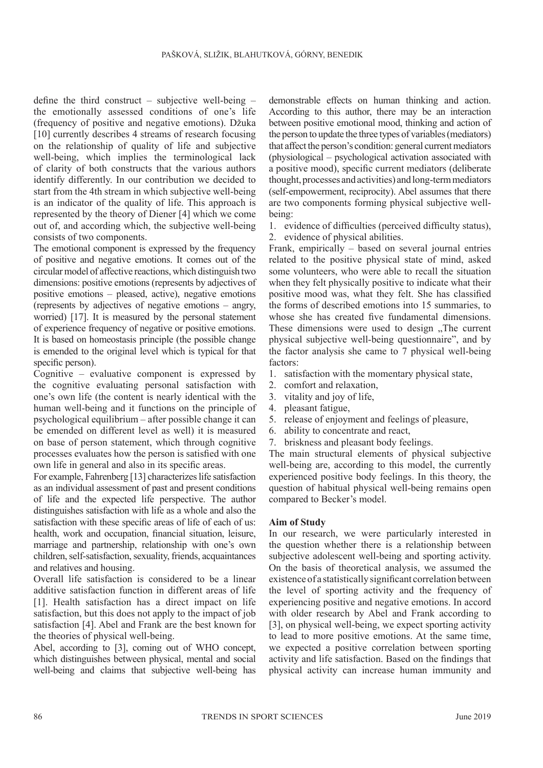define the third construct – subjective well-being – the emotionally assessed conditions of one's life (frequency of positive and negative emotions). Džuka [10] currently describes 4 streams of research focusing on the relationship of quality of life and subjective well-being, which implies the terminological lack of clarity of both constructs that the various authors identify differently. In our contribution we decided to start from the 4th stream in which subjective well-being is an indicator of the quality of life. This approach is represented by the theory of Diener [4] which we come out of, and according which, the subjective well-being consists of two components.

The emotional component is expressed by the frequency of positive and negative emotions. It comes out of the circular model of affective reactions, which distinguish two dimensions: positive emotions (represents by adjectives of positive emotions – pleased, active), negative emotions (represents by adjectives of negative emotions – angry, worried) [17]. It is measured by the personal statement of experience frequency of negative or positive emotions. It is based on homeostasis principle (the possible change is emended to the original level which is typical for that specific person).

Cognitive – evaluative component is expressed by the cognitive evaluating personal satisfaction with one's own life (the content is nearly identical with the human well-being and it functions on the principle of psychological equilibrium – after possible change it can be emended on different level as well) it is measured on base of person statement, which through cognitive processes evaluates how the person is satisfied with one own life in general and also in its specific areas.

For example, Fahrenberg [13] characterizes life satisfaction as an individual assessment of past and present conditions of life and the expected life perspective. The author distinguishes satisfaction with life as a whole and also the satisfaction with these specific areas of life of each of us: health, work and occupation, financial situation, leisure, marriage and partnership, relationship with one's own children, self-satisfaction, sexuality, friends, acquaintances and relatives and housing.

Overall life satisfaction is considered to be a linear additive satisfaction function in different areas of life [1]. Health satisfaction has a direct impact on life satisfaction, but this does not apply to the impact of job satisfaction [4]. Abel and Frank are the best known for the theories of physical well-being.

Abel, according to [3], coming out of WHO concept, which distinguishes between physical, mental and social well-being and claims that subjective well-being has demonstrable effects on human thinking and action. According to this author, there may be an interaction between positive emotional mood, thinking and action of the person to update the three types of variables (mediators) that affect the person's condition: general current mediators (physiological – psychological activation associated with a positive mood), specific current mediators (deliberate thought, processes and activities) and long-term mediators (self-empowerment, reciprocity). Abel assumes that there are two components forming physical subjective wellbeing:

1. evidence of difficulties (perceived difficulty status), 2. evidence of physical abilities.

Frank, empirically – based on several journal entries related to the positive physical state of mind, asked some volunteers, who were able to recall the situation when they felt physically positive to indicate what their positive mood was, what they felt. She has classified the forms of described emotions into 15 summaries, to whose she has created five fundamental dimensions. These dimensions were used to design .The current physical subjective well-being questionnaire", and by the factor analysis she came to 7 physical well-being factors:

- 1. satisfaction with the momentary physical state,
- 2. comfort and relaxation,
- 3. vitality and joy of life,
- 4. pleasant fatigue,
- 5. release of enjoyment and feelings of pleasure,
- 6. ability to concentrate and react,
- 7. briskness and pleasant body feelings.

The main structural elements of physical subjective well-being are, according to this model, the currently experienced positive body feelings. In this theory, the question of habitual physical well-being remains open compared to Becker's model.

#### **Aim of Study**

In our research, we were particularly interested in the question whether there is a relationship between subjective adolescent well-being and sporting activity. On the basis of theoretical analysis, we assumed the existence of a statistically significant correlation between the level of sporting activity and the frequency of experiencing positive and negative emotions. In accord with older research by Abel and Frank according to [3], on physical well-being, we expect sporting activity to lead to more positive emotions. At the same time, we expected a positive correlation between sporting activity and life satisfaction. Based on the findings that physical activity can increase human immunity and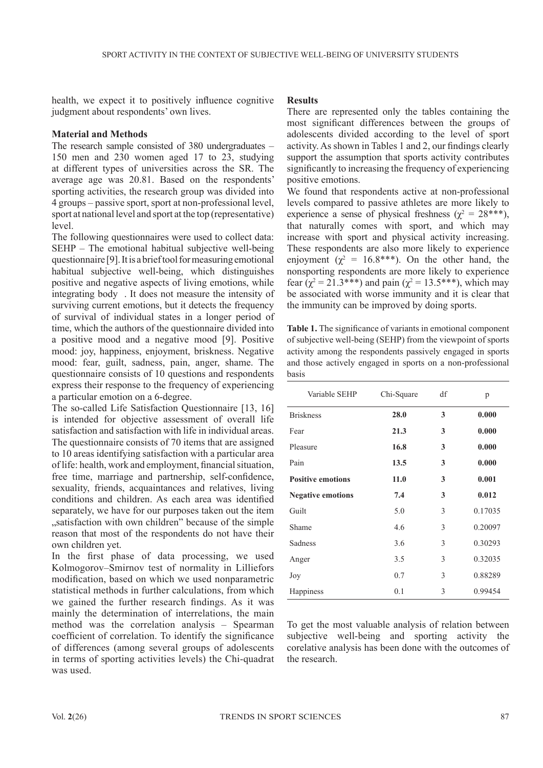health, we expect it to positively influence cognitive judgment about respondents' own lives.

#### **Material and Methods**

The research sample consisted of 380 undergraduates – 150 men and 230 women aged 17 to 23, studying at different types of universities across the SR. The average age was 20.81. Based on the respondents' sporting activities, the research group was divided into 4 groups – passive sport, sport at non-professional level, sport at national level and sport at the top (representative) level.

The following questionnaires were used to collect data: SEHP – The emotional habitual subjective well-being questionnaire [9]. It is a brief tool for measuring emotional habitual subjective well-being, which distinguishes positive and negative aspects of living emotions, while integrating body . It does not measure the intensity of surviving current emotions, but it detects the frequency of survival of individual states in a longer period of time, which the authors of the questionnaire divided into a positive mood and a negative mood [9]. Positive mood: joy, happiness, enjoyment, briskness. Negative mood: fear, guilt, sadness, pain, anger, shame. The questionnaire consists of 10 questions and respondents express their response to the frequency of experiencing a particular emotion on a 6-degree.

The so-called Life Satisfaction Questionnaire [13, 16] is intended for objective assessment of overall life satisfaction and satisfaction with life in individual areas. The questionnaire consists of 70 items that are assigned to 10 areas identifying satisfaction with a particular area of life: health, work and employment, financial situation, free time, marriage and partnership, self-confidence, sexuality, friends, acquaintances and relatives, living conditions and children. As each area was identified separately, we have for our purposes taken out the item "satisfaction with own children" because of the simple reason that most of the respondents do not have their own children yet.

In the first phase of data processing, we used Kolmogorov–Smirnov test of normality in Lilliefors modification, based on which we used nonparametric statistical methods in further calculations, from which we gained the further research findings. As it was mainly the determination of interrelations, the main method was the correlation analysis – Spearman coefficient of correlation. To identify the significance of differences (among several groups of adolescents in terms of sporting activities levels) the Chi-quadrat was used.

### **Results**

There are represented only the tables containing the most significant differences between the groups of adolescents divided according to the level of sport activity. As shown in Tables 1 and 2, our findings clearly support the assumption that sports activity contributes significantly to increasing the frequency of experiencing positive emotions.

We found that respondents active at non-professional levels compared to passive athletes are more likely to experience a sense of physical freshness ( $\chi^2 = 28$ \*\*\*), that naturally comes with sport, and which may increase with sport and physical activity increasing. These respondents are also more likely to experience enjoyment ( $\chi^2 = 16.8$ \*\*\*). On the other hand, the nonsporting respondents are more likely to experience fear ( $\chi^2$  = 21.3\*\*\*) and pain ( $\chi^2$  = 13.5\*\*\*), which may be associated with worse immunity and it is clear that the immunity can be improved by doing sports.

**Table 1.** The significance of variants in emotional component of subjective well-being (SEHP) from the viewpoint of sports activity among the respondents passively engaged in sports and those actively engaged in sports on a non-professional basis

| Variable SEHP            | Chi-Square | df | p       |
|--------------------------|------------|----|---------|
| <b>Briskness</b>         | 28.0       | 3  | 0.000   |
| Fear                     | 21.3       | 3  | 0.000   |
| Pleasure                 | 16.8       | 3  | 0.000   |
| Pain                     | 13.5       | 3  | 0.000   |
| <b>Positive emotions</b> | 11.0       | 3  | 0.001   |
| <b>Negative emotions</b> | 7.4        | 3  | 0.012   |
| Guilt                    | 5.0        | 3  | 0.17035 |
| Shame                    | 4.6        | 3  | 0.20097 |
| Sadness                  | 3.6        | 3  | 0.30293 |
| Anger                    | 3.5        | 3  | 0.32035 |
| Joy                      | 0.7        | 3  | 0.88289 |
| Happiness                | 0.1        | 3  | 0.99454 |

To get the most valuable analysis of relation between subjective well-being and sporting activity the corelative analysis has been done with the outcomes of the research.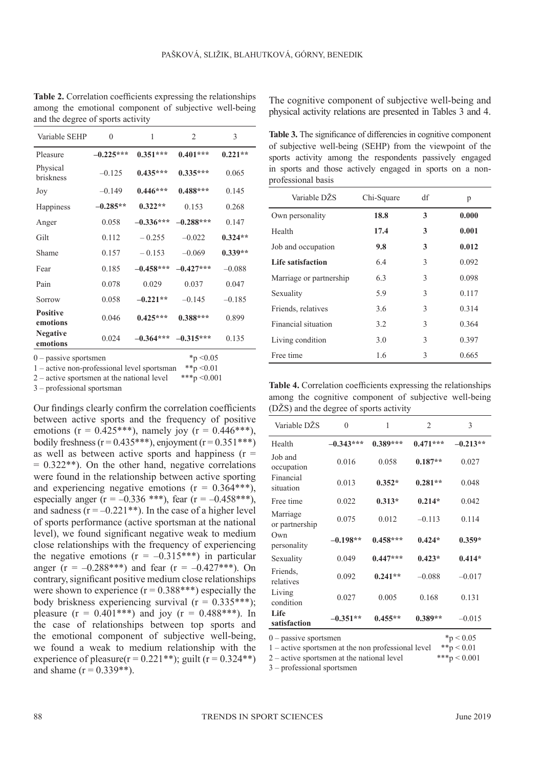| Variable SEHP               | $\theta$    | 1           | $\overline{c}$ | 3         |
|-----------------------------|-------------|-------------|----------------|-----------|
| Pleasure                    | $-0.225***$ | $0.351***$  | $0.401***$     | $0.221**$ |
| Physical<br>briskness       | $-0.125$    | $0.435***$  | $0.335***$     | 0.065     |
| Joy                         | $-0.149$    | $0.446***$  | $0.488***$     | 0.145     |
| Happiness                   | $-0.285**$  | $0.322**$   | 0.153          | 0.268     |
| Anger                       | 0.058       | $-0.336***$ | $-0.288***$    | 0.147     |
| Gilt                        | 0.112       | $-0.255$    | $-0.022$       | $0.324**$ |
| Shame                       | 0.157       | $-0.153$    | $-0.069$       | $0.339**$ |
| Fear                        | 0.185       | $-0.458***$ | $-0.427***$    | $-0.088$  |
| Pain                        | 0.078       | 0.029       | 0.037          | 0.047     |
| Sorrow                      | 0.058       | $-0.221**$  | $-0.145$       | $-0.185$  |
| <b>Positive</b><br>emotions | 0.046       | $0.425***$  | $0.388***$     | 0.899     |
| <b>Negative</b><br>emotions | 0.024       | $-0.364***$ | $-0.315***$    | 0.135     |

**Table 2.** Correlation coefficients expressing the relationships among the emotional component of subjective well-being and the degree of sports activity

The cognitive component of subjective well-being and physical activity relations are presented in Tables 3 and 4.

**Table 3.** The significance of differencies in cognitive component of subjective well-being (SEHP) from the viewpoint of the sports activity among the respondents passively engaged in sports and those actively engaged in sports on a non-

professional basis Variable DŽS Chi-Square df p Own personality **18.8 3 0.000** Health **17.4 3 0.001** Job and occupation **9.8 3 0.012 Life satisfaction** 6.4 3 0.092 Marriage or partnership  $6.3$   $3$  0.098 Sexuality 5.9 3 0.117 Friends, relatives 3.6 3 0.314 Financial situation 3.2 3 0.364 Living condition  $3.0$   $3.0$   $3.97$ Free time 1.6 3 0.665

0 – passive sportsmen \*p <0.05<br>1 – active non-professional level sportsman \*\*p <0.01

1 – active non-professional level sportsman \*\*p <0.01<br>2 – active sportsmen at the national level \*\*\*p <0.001  $2$  – active sportsmen at the national level

3 – professional sportsman

Our findings clearly confirm the correlation coefficients between active sports and the frequency of positive emotions ( $r = 0.425$ \*\*\*), namely joy ( $r = 0.446$ \*\*\*), bodily freshness ( $r = 0.435***$ ), enjoyment ( $r = 0.351***$ ) as well as between active sports and happiness  $(r =$  $= 0.322$ <sup>\*\*</sup>). On the other hand, negative correlations were found in the relationship between active sporting and experiencing negative emotions  $(r = 0.364***)$ , especially anger (r =  $-0.336$  \*\*\*), fear (r =  $-0.458$ \*\*\*), and sadness  $(r = -0.221**)$ . In the case of a higher level of sports performance (active sportsman at the national level), we found significant negative weak to medium close relationships with the frequency of experiencing the negative emotions  $(r = -0.315***)$  in particular anger (r =  $-0.288$ \*\*\*) and fear (r =  $-0.427$ \*\*\*). On contrary, significant positive medium close relationships were shown to experience  $(r = 0.388***)$  especially the body briskness experiencing survival  $(r = 0.335***);$ pleasure  $(r = 0.401***)$  and joy  $(r = 0.488***)$ . In the case of relationships between top sports and the emotional component of subjective well-being, we found a weak to medium relationship with the experience of pleasure( $r = 0.221**$ ); guilt ( $r = 0.324**$ ) and shame  $(r = 0.339**)$ .

**Table 4.** Correlation coefficients expressing the relationships among the cognitive component of subjective well-being (DŽS) and the degree of sports activity

| Variable DŽS               | $\mathbf{0}$ | 1          | $\overline{2}$ | 3          |
|----------------------------|--------------|------------|----------------|------------|
| Health                     | $-0.343***$  | $0.389***$ | $0.471***$     | $-0.213**$ |
| Job and<br>occupation      | 0.016        | 0.058      | $0.187**$      | 0.027      |
| Financial<br>situation     | 0.013        | $0.352*$   | $0.281**$      | 0.048      |
| Free time                  | 0.022        | $0.313*$   | $0.214*$       | 0.042      |
| Marriage<br>or partnership | 0.075        | 0.012      | $-0.113$       | 0.114      |
| Own<br>personality         | $-0.198**$   | $0.458***$ | $0.424*$       | $0.359*$   |
| Sexuality                  | 0.049        | $0.447***$ | $0.423*$       | $0.414*$   |
| Friends.<br>relatives      | 0.092        | $0.241**$  | $-0.088$       | $-0.017$   |
| Living<br>condition        | 0.027        | 0.005      | 0.168          | 0.131      |
| Life<br>satisfaction       | $-0.351**$   | $0.455**$  | $0.389**$      | $-0.015$   |
| $0$ – passive sportsmen    |              |            | ${}^*p < 0.05$ |            |

1 – active sportsmen at the non professional level  $*_{p} < 0.01$ 

2 – active sportsmen at the national level \*\*\*p  $< 0.001$ 

3 – professional sportsmen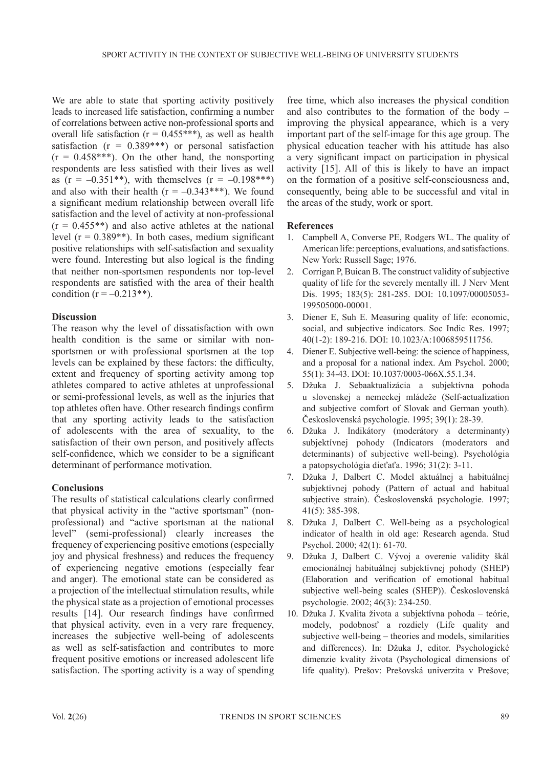We are able to state that sporting activity positively leads to increased life satisfaction, confirming a number of correlations between active non-professional sports and overall life satisfaction ( $r = 0.455***$ ), as well as health satisfaction  $(r = 0.389***)$  or personal satisfaction  $(r = 0.458***)$ . On the other hand, the nonsporting respondents are less satisfied with their lives as well as  $(r = -0.351^{**})$ , with themselves  $(r = -0.198^{***})$ and also with their health  $(r = -0.343***)$ . We found a significant medium relationship between overall life satisfaction and the level of activity at non-professional  $(r = 0.455**)$  and also active athletes at the national level  $(r = 0.389**)$ . In both cases, medium significant positive relationships with self-satisfaction and sexuality were found. Interesting but also logical is the finding that neither non-sportsmen respondents nor top-level respondents are satisfied with the area of their health condition  $(r = -0.213**)$ .

### **Discussion**

The reason why the level of dissatisfaction with own health condition is the same or similar with nonsportsmen or with professional sportsmen at the top levels can be explained by these factors: the difficulty, extent and frequency of sporting activity among top athletes compared to active athletes at unprofessional or semi-professional levels, as well as the injuries that top athletes often have. Other research findings confirm that any sporting activity leads to the satisfaction of adolescents with the area of sexuality, to the satisfaction of their own person, and positively affects self-confidence, which we consider to be a significant determinant of performance motivation.

### **Conclusions**

The results of statistical calculations clearly confirmed that physical activity in the "active sportsman" (nonprofessional) and "active sportsman at the national level" (semi-professional) clearly increases the frequency of experiencing positive emotions (especially joy and physical freshness) and reduces the frequency of experiencing negative emotions (especially fear and anger). The emotional state can be considered as a projection of the intellectual stimulation results, while the physical state as a projection of emotional processes results [14]. Our research findings have confirmed that physical activity, even in a very rare frequency, increases the subjective well-being of adolescents as well as self-satisfaction and contributes to more frequent positive emotions or increased adolescent life satisfaction. The sporting activity is a way of spending

free time, which also increases the physical condition and also contributes to the formation of the body – improving the physical appearance, which is a very important part of the self-image for this age group. The physical education teacher with his attitude has also a very significant impact on participation in physical activity [15]. All of this is likely to have an impact on the formation of a positive self-consciousness and, consequently, being able to be successful and vital in the areas of the study, work or sport.

### **References**

- 1. Campbell A, Converse PE, Rodgers WL. The quality of American life: perceptions, evaluations, and satisfactions. New York: Russell Sage; 1976.
- 2. Corrigan P, Buican B. The construct validity of subjective quality of life for the severely mentally ill. J Nerv Ment Dis. 1995; 183(5): 281-285. DOI: 10.1097/00005053- 199505000-00001.
- 3. Diener E, Suh E. Measuring quality of life: economic, social, and subjective indicators. Soc Indic Res. 1997; 40(1-2): 189-216. DOI: 10.1023/A:1006859511756.
- 4. Diener E. Subjective well-being: the science of happiness, and a proposal for a national index. Am Psychol. 2000; 55(1): 34-43. DOI: 10.1037/0003-066X.55.1.34.
- 5. Džuka J. Sebaaktualizácia a subjektívna pohoda u slovenskej a nemeckej mládeže (Self-actualization and subjective comfort of Slovak and German youth). Československá psychologie. 1995; 39(1): 28-39.
- 6. Džuka J. Indikátory (moderátory a determinanty) subjektívnej pohody (Indicators (moderators and determinants) of subjective well-being). Psychológia a patopsychológia dieťaťa. 1996; 31(2): 3-11.
- 7. Džuka J, Dalbert C. Model aktuálnej a habituálnej subjektívnej pohody (Pattern of actual and habitual subjective strain). Československá psychologie. 1997; 41(5): 385-398.
- 8. Džuka J, Dalbert C. Well-being as a psychological indicator of health in old age: Research agenda. Stud Psychol. 2000; 42(1): 61-70.
- 9. Džuka J, Dalbert C. Vývoj a overenie validity škál emocionálnej habituálnej subjektívnej pohody (SHEP) (Elaboration and verification of emotional habitual subjective well-being scales (SHEP)). Československá psychologie. 2002; 46(3): 234-250.
- 10. Džuka J. Kvalita života a subjektívna pohoda teórie, modely, podobnosť a rozdiely (Life quality and subjective well-being – theories and models, similarities and differences). In: Džuka J, editor. Psychologické dimenzie kvality života (Psychological dimensions of life quality). Prešov: Prešovská univerzita v Prešove;